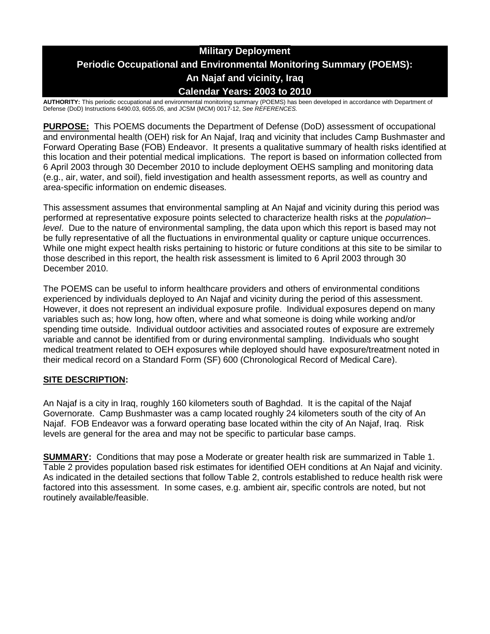# **Military Deployment Periodic Occupational and Environmental Monitoring Summary (POEMS): An Najaf and vicinity, Iraq Calendar Years: 2003 to 2010**

**AUTHORITY:** This periodic occupational and environmental monitoring summary (POEMS) has been developed in accordance with Department of Defense (DoD) Instructions 6490.03, 6055.05, and JCSM (MCM) 0017-12, *See REFERENCES.*

**PURPOSE:** This POEMS documents the Department of Defense (DoD) assessment of occupational and environmental health (OEH) risk for An Najaf, Iraq and vicinity that includes Camp Bushmaster and Forward Operating Base (FOB) Endeavor. It presents a qualitative summary of health risks identified at this location and their potential medical implications. The report is based on information collected from 6 April 2003 through 30 December 2010 to include deployment OEHS sampling and monitoring data (e.g., air, water, and soil), field investigation and health assessment reports, as well as country and area-specific information on endemic diseases.

This assessment assumes that environmental sampling at An Najaf and vicinity during this period was performed at representative exposure points selected to characterize health risks at the *population– level*. Due to the nature of environmental sampling, the data upon which this report is based may not be fully representative of all the fluctuations in environmental quality or capture unique occurrences. While one might expect health risks pertaining to historic or future conditions at this site to be similar to those described in this report, the health risk assessment is limited to 6 April 2003 through 30 December 2010.

The POEMS can be useful to inform healthcare providers and others of environmental conditions experienced by individuals deployed to An Najaf and vicinity during the period of this assessment. However, it does not represent an individual exposure profile. Individual exposures depend on many variables such as; how long, how often, where and what someone is doing while working and/or spending time outside. Individual outdoor activities and associated routes of exposure are extremely variable and cannot be identified from or during environmental sampling. Individuals who sought medical treatment related to OEH exposures while deployed should have exposure/treatment noted in their medical record on a Standard Form (SF) 600 (Chronological Record of Medical Care).

# **SITE DESCRIPTION:**

An Najaf is a city in Iraq, roughly 160 kilometers south of Baghdad. It is the capital of the Najaf Governorate. Camp Bushmaster was a camp located roughly 24 kilometers south of the city of An Najaf. FOB Endeavor was a forward operating base located within the city of An Najaf, Iraq. Risk levels are general for the area and may not be specific to particular base camps.

**SUMMARY:** Conditions that may pose a Moderate or greater health risk are summarized in Table 1. Table 2 provides population based risk estimates for identified OEH conditions at An Najaf and vicinity. As indicated in the detailed sections that follow Table 2, controls established to reduce health risk were factored into this assessment. In some cases, e.g. ambient air, specific controls are noted, but not routinely available/feasible.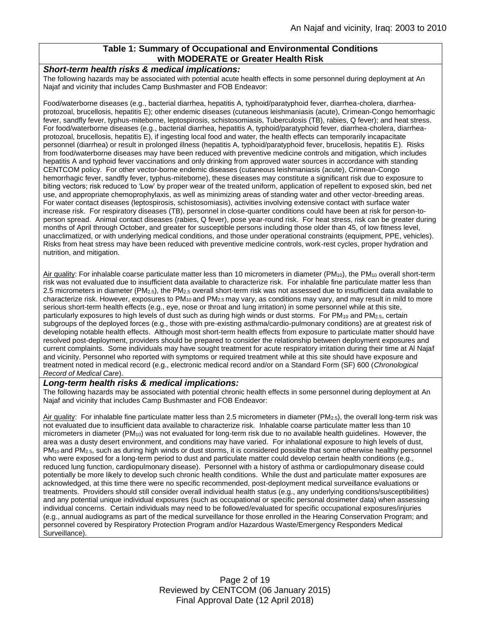### **Table 1: Summary of Occupational and Environmental Conditions with MODERATE or Greater Health Risk**

#### *Short-term health risks & medical implications:*

The following hazards may be associated with potential acute health effects in some personnel during deployment at An Najaf and vicinity that includes Camp Bushmaster and FOB Endeavor:

Food/waterborne diseases (e.g., bacterial diarrhea, hepatitis A, typhoid/paratyphoid fever, diarrhea-cholera, diarrheaprotozoal, brucellosis, hepatitis E); other endemic diseases (cutaneous leishmaniasis (acute), Crimean-Congo hemorrhagic fever, sandfly fever, typhus-miteborne, leptospirosis, schistosomiasis, Tuberculosis (TB), rabies, Q fever); and heat stress. For food/waterborne diseases (e.g., bacterial diarrhea, hepatitis A, typhoid/paratyphoid fever, diarrhea-cholera, diarrheaprotozoal, brucellosis, hepatitis E), if ingesting local food and water, the health effects can temporarily incapacitate personnel (diarrhea) or result in prolonged illness (hepatitis A, typhoid/paratyphoid fever, brucellosis, hepatitis E). Risks from food/waterborne diseases may have been reduced with preventive medicine controls and mitigation, which includes hepatitis A and typhoid fever vaccinations and only drinking from approved water sources in accordance with standing CENTCOM policy. For other vector-borne endemic diseases (cutaneous leishmaniasis (acute), Crimean-Congo hemorrhagic fever, sandfly fever, typhus-miteborne), these diseases may constitute a significant risk due to exposure to biting vectors; risk reduced to 'Low' by proper wear of the treated uniform, application of repellent to exposed skin, bed net use, and appropriate chemoprophylaxis, as well as minimizing areas of standing water and other vector-breeding areas. For water contact diseases (leptospirosis, schistosomiasis), activities involving extensive contact with surface water increase risk. For respiratory diseases (TB), personnel in close-quarter conditions could have been at risk for person-toperson spread. Animal contact diseases (rabies, Q fever), pose year-round risk. For heat stress, risk can be greater during months of April through October, and greater for susceptible persons including those older than 45, of low fitness level, unacclimatized, or with underlying medical conditions, and those under operational constraints (equipment, PPE, vehicles). Risks from heat stress may have been reduced with preventive medicine controls, work-rest cycles, proper hydration and nutrition, and mitigation.

Air quality: For inhalable coarse particulate matter less than 10 micrometers in diameter (PM<sub>10</sub>), the PM<sub>10</sub> overall short-term risk was not evaluated due to insufficient data available to characterize risk. For inhalable fine particulate matter less than 2.5 micrometers in diameter (PM<sub>2.5</sub>), the PM<sub>2.5</sub> overall short-term risk was not assessed due to insufficient data available to characterize risk. However, exposures to PM<sub>10</sub> and PM<sub>2.5</sub> may vary, as conditions may vary, and may result in mild to more serious short-term health effects (e.g., eye, nose or throat and lung irritation) in some personnel while at this site, particularly exposures to high levels of dust such as during high winds or dust storms. For PM<sub>10</sub> and PM<sub>2.5</sub>, certain subgroups of the deployed forces (e.g., those with pre-existing asthma/cardio-pulmonary conditions) are at greatest risk of developing notable health effects. Although most short-term health effects from exposure to particulate matter should have resolved post-deployment, providers should be prepared to consider the relationship between deployment exposures and current complaints. Some individuals may have sought treatment for acute respiratory irritation during their time at Al Najaf and vicinity. Personnel who reported with symptoms or required treatment while at this site should have exposure and treatment noted in medical record (e.g., electronic medical record and/or on a Standard Form (SF) 600 (*Chronological Record of Medical Care*).

#### *Long-term health risks & medical implications:*

The following hazards may be associated with potential chronic health effects in some personnel during deployment at An Najaf and vicinity that includes Camp Bushmaster and FOB Endeavor:

Air quality: For inhalable fine particulate matter less than 2.5 micrometers in diameter (PM<sub>2.5</sub>), the overall long-term risk was not evaluated due to insufficient data available to characterize risk. Inhalable coarse particulate matter less than 10 micrometers in diameter (PM10) was not evaluated for long-term risk due to no available health guidelines. However, the area was a dusty desert environment, and conditions may have varied. For inhalational exposure to high levels of dust,  $PM_{10}$  and  $PM_{2.5}$ , such as during high winds or dust storms, it is considered possible that some otherwise healthy personnel who were exposed for a long-term period to dust and particulate matter could develop certain health conditions (e.g., reduced lung function, cardiopulmonary disease). Personnel with a history of asthma or cardiopulmonary disease could potentially be more likely to develop such chronic health conditions. While the dust and particulate matter exposures are acknowledged, at this time there were no specific recommended, post-deployment medical surveillance evaluations or treatments. Providers should still consider overall individual health status (e.g., any underlying conditions/susceptibilities) and any potential unique individual exposures (such as occupational or specific personal dosimeter data) when assessing individual concerns. Certain individuals may need to be followed/evaluated for specific occupational exposures/injuries (e.g., annual audiograms as part of the medical surveillance for those enrolled in the Hearing Conservation Program; and personnel covered by Respiratory Protection Program and/or Hazardous Waste/Emergency Responders Medical Surveillance).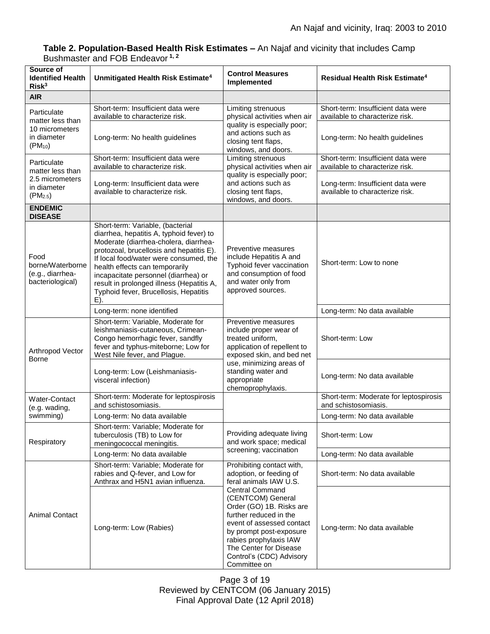### **Table 2. Population-Based Health Risk Estimates –** An Najaf and vicinity that includes Camp Bushmaster and FOB Endeavor **1, 2**

| Source of<br><b>Identified Health</b><br>Risk <sup>3</sup>                                | Unmitigated Health Risk Estimate <sup>4</sup>                                                                                                                                                                                                                                                                                                                                      | <b>Control Measures</b><br>Implemented                                                                                                                                                                                                                                                                                                      | <b>Residual Health Risk Estimate<sup>4</sup></b>                      |
|-------------------------------------------------------------------------------------------|------------------------------------------------------------------------------------------------------------------------------------------------------------------------------------------------------------------------------------------------------------------------------------------------------------------------------------------------------------------------------------|---------------------------------------------------------------------------------------------------------------------------------------------------------------------------------------------------------------------------------------------------------------------------------------------------------------------------------------------|-----------------------------------------------------------------------|
| <b>AIR</b>                                                                                |                                                                                                                                                                                                                                                                                                                                                                                    |                                                                                                                                                                                                                                                                                                                                             |                                                                       |
| Particulate<br>matter less than<br>10 micrometers<br>in diameter<br>$(PM_{10})$           | Short-term: Insufficient data were<br>available to characterize risk.                                                                                                                                                                                                                                                                                                              | Limiting strenuous<br>physical activities when air<br>quality is especially poor;<br>and actions such as<br>closing tent flaps,<br>windows, and doors.                                                                                                                                                                                      | Short-term: Insufficient data were<br>available to characterize risk. |
|                                                                                           | Long-term: No health guidelines                                                                                                                                                                                                                                                                                                                                                    |                                                                                                                                                                                                                                                                                                                                             | Long-term: No health guidelines                                       |
| Particulate<br>matter less than<br>2.5 micrometers<br>in diameter<br>(PM <sub>2.5</sub> ) | Short-term: Insufficient data were<br>available to characterize risk.                                                                                                                                                                                                                                                                                                              | Limiting strenuous<br>physical activities when air<br>quality is especially poor;<br>and actions such as<br>closing tent flaps,<br>windows, and doors.                                                                                                                                                                                      | Short-term: Insufficient data were<br>available to characterize risk. |
|                                                                                           | Long-term: Insufficient data were<br>available to characterize risk.                                                                                                                                                                                                                                                                                                               |                                                                                                                                                                                                                                                                                                                                             | Long-term: Insufficient data were<br>available to characterize risk.  |
| <b>ENDEMIC</b><br><b>DISEASE</b>                                                          |                                                                                                                                                                                                                                                                                                                                                                                    |                                                                                                                                                                                                                                                                                                                                             |                                                                       |
| Food<br>borne/Waterborne<br>(e.g., diarrhea-<br>bacteriological)                          | Short-term: Variable, (bacterial<br>diarrhea, hepatitis A, typhoid fever) to<br>Moderate (diarrhea-cholera, diarrhea-<br>protozoal, brucellosis and hepatitis E).<br>If local food/water were consumed, the<br>health effects can temporarily<br>incapacitate personnel (diarrhea) or<br>result in prolonged illness (Hepatitis A,<br>Typhoid fever, Brucellosis, Hepatitis<br>E). | Preventive measures<br>include Hepatitis A and<br>Typhoid fever vaccination<br>and consumption of food<br>and water only from<br>approved sources.                                                                                                                                                                                          | Short-term: Low to none                                               |
|                                                                                           | Long-term: none identified                                                                                                                                                                                                                                                                                                                                                         |                                                                                                                                                                                                                                                                                                                                             | Long-term: No data available                                          |
| Arthropod Vector<br><b>Borne</b>                                                          | Short-term: Variable, Moderate for<br>leishmaniasis-cutaneous, Crimean-<br>Congo hemorrhagic fever, sandfly<br>fever and typhus-miteborne; Low for<br>West Nile fever, and Plague.                                                                                                                                                                                                 | Preventive measures<br>include proper wear of<br>treated uniform,<br>application of repellent to<br>exposed skin, and bed net<br>use, minimizing areas of<br>standing water and<br>appropriate<br>chemoprophylaxis.                                                                                                                         | Short-term: Low                                                       |
|                                                                                           | Long-term: Low (Leishmaniasis-<br>visceral infection)                                                                                                                                                                                                                                                                                                                              |                                                                                                                                                                                                                                                                                                                                             | Long-term: No data available                                          |
| Water-Contact<br>(e.g. wading,                                                            | Short-term: Moderate for leptospirosis<br>and schistosomiasis.                                                                                                                                                                                                                                                                                                                     |                                                                                                                                                                                                                                                                                                                                             | Short-term: Moderate for leptospirosis<br>and schistosomiasis.        |
| swimming)                                                                                 | Long-term: No data available                                                                                                                                                                                                                                                                                                                                                       |                                                                                                                                                                                                                                                                                                                                             | Long-term: No data available                                          |
| Respiratory                                                                               | Short-term: Variable; Moderate for<br>tuberculosis (TB) to Low for<br>meningococcal meningitis.                                                                                                                                                                                                                                                                                    | Providing adequate living<br>and work space; medical<br>screening; vaccination                                                                                                                                                                                                                                                              | Short-term: Low                                                       |
|                                                                                           | Long-term: No data available                                                                                                                                                                                                                                                                                                                                                       |                                                                                                                                                                                                                                                                                                                                             | Long-term: No data available                                          |
| <b>Animal Contact</b>                                                                     | Short-term: Variable; Moderate for<br>rabies and Q-fever, and Low for<br>Anthrax and H5N1 avian influenza.                                                                                                                                                                                                                                                                         | Prohibiting contact with,<br>adoption, or feeding of<br>feral animals IAW U.S.<br><b>Central Command</b><br>(CENTCOM) General<br>Order (GO) 1B. Risks are<br>further reduced in the<br>event of assessed contact<br>by prompt post-exposure<br>rabies prophylaxis IAW<br>The Center for Disease<br>Control's (CDC) Advisory<br>Committee on | Short-term: No data available                                         |
|                                                                                           | Long-term: Low (Rabies)                                                                                                                                                                                                                                                                                                                                                            |                                                                                                                                                                                                                                                                                                                                             | Long-term: No data available                                          |

Page 3 of 19 Reviewed by CENTCOM (06 January 2015) Final Approval Date (12 April 2018)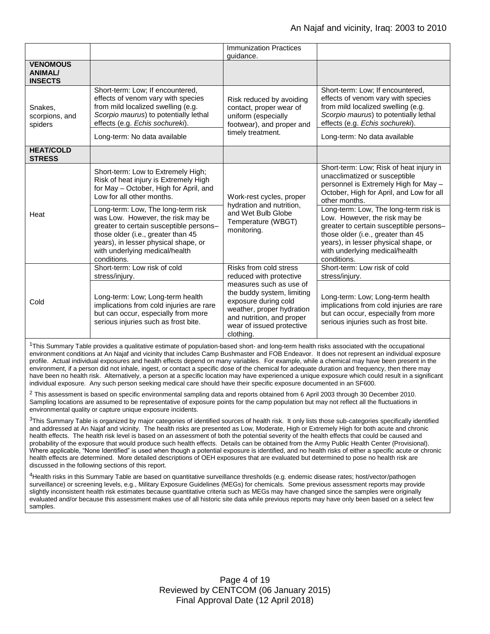|                                                     |                                                                                                                                                                                                                               | <b>Immunization Practices</b><br>quidance.                                                                                                                                                                                             |                                                                                                                                                                                                                                                          |
|-----------------------------------------------------|-------------------------------------------------------------------------------------------------------------------------------------------------------------------------------------------------------------------------------|----------------------------------------------------------------------------------------------------------------------------------------------------------------------------------------------------------------------------------------|----------------------------------------------------------------------------------------------------------------------------------------------------------------------------------------------------------------------------------------------------------|
| <b>VENOMOUS</b><br><b>ANIMAL/</b><br><b>INSECTS</b> |                                                                                                                                                                                                                               |                                                                                                                                                                                                                                        |                                                                                                                                                                                                                                                          |
| Snakes.<br>scorpions, and<br>spiders                | Short-term: Low; If encountered,<br>effects of venom vary with species<br>from mild localized swelling (e.g.<br>Scorpio maurus) to potentially lethal<br>effects (e.g. Echis sochureki).                                      | Risk reduced by avoiding<br>contact, proper wear of<br>uniform (especially<br>footwear), and proper and<br>timely treatment.                                                                                                           | Short-term: Low; If encountered,<br>effects of venom vary with species<br>from mild localized swelling (e.g.<br>Scorpio maurus) to potentially lethal<br>effects (e.g. Echis sochureki).                                                                 |
|                                                     | Long-term: No data available                                                                                                                                                                                                  |                                                                                                                                                                                                                                        | Long-term: No data available                                                                                                                                                                                                                             |
| <b>HEAT/COLD</b><br><b>STRESS</b>                   |                                                                                                                                                                                                                               |                                                                                                                                                                                                                                        |                                                                                                                                                                                                                                                          |
| Heat                                                | Short-term: Low to Extremely High;<br>Risk of heat injury is Extremely High<br>for May - October, High for April, and<br>Low for all other months.<br>Long-term: Low, The long-term risk<br>was Low. However, the risk may be | Work-rest cycles, proper<br>hydration and nutrition,<br>and Wet Bulb Globe<br>Temperature (WBGT)<br>monitoring.                                                                                                                        | Short-term: Low; Risk of heat injury in<br>unacclimatized or susceptible<br>personnel is Extremely High for May -<br>October, High for April, and Low for all<br>other months.<br>Long-term: Low, The long-term risk is<br>Low. However, the risk may be |
|                                                     | greater to certain susceptible persons-<br>those older (i.e., greater than 45<br>years), in lesser physical shape, or<br>with underlying medical/health<br>conditions.                                                        |                                                                                                                                                                                                                                        | greater to certain susceptible persons-<br>those older (i.e., greater than 45<br>years), in lesser physical shape, or<br>with underlying medical/health<br>conditions.                                                                                   |
| Cold                                                | Short-term: Low risk of cold<br>stress/injury.                                                                                                                                                                                | Risks from cold stress<br>reduced with protective<br>measures such as use of<br>the buddy system, limiting<br>exposure during cold<br>weather, proper hydration<br>and nutrition, and proper<br>wear of issued protective<br>clothing. | Short-term: Low risk of cold<br>stress/injury.                                                                                                                                                                                                           |
|                                                     | Long-term: Low; Long-term health<br>implications from cold injuries are rare<br>but can occur, especially from more<br>serious injuries such as frost bite.                                                                   |                                                                                                                                                                                                                                        | Long-term: Low; Long-term health<br>implications from cold injuries are rare<br>but can occur, especially from more<br>serious injuries such as frost bite.                                                                                              |

<sup>1</sup>This Summary Table provides a qualitative estimate of population-based short- and long-term health risks associated with the occupational environment conditions at An Najaf and vicinity that includes Camp Bushmaster and FOB Endeavor. It does not represent an individual exposure profile. Actual individual exposures and health effects depend on many variables. For example, while a chemical may have been present in the environment, if a person did not inhale, ingest, or contact a specific dose of the chemical for adequate duration and frequency, then there may have been no health risk. Alternatively, a person at a specific location may have experienced a unique exposure which could result in a significant individual exposure. Any such person seeking medical care should have their specific exposure documented in an SF600.

 $^2$  This assessment is based on specific environmental sampling data and reports obtained from 6 April 2003 through 30 December 2010. Sampling locations are assumed to be representative of exposure points for the camp population but may not reflect all the fluctuations in environmental quality or capture unique exposure incidents.

 $3$ This Summary Table is organized by major categories of identified sources of health risk. It only lists those sub-categories specifically identified and addressed at An Najaf and vicinity. The health risks are presented as Low, Moderate, High or Extremely High for both acute and chronic health effects. The health risk level is based on an assessment of both the potential severity of the health effects that could be caused and probability of the exposure that would produce such health effects. Details can be obtained from the Army Public Health Center (Provisional). Where applicable, "None Identified" is used when though a potential exposure is identified, and no health risks of either a specific acute or chronic health effects are determined. More detailed descriptions of OEH exposures that are evaluated but determined to pose no health risk are discussed in the following sections of this report.

<sup>4</sup>Health risks in this Summary Table are based on quantitative surveillance thresholds (e.g. endemic disease rates; host/vector/pathogen surveillance) or screening levels, e.g., Military Exposure Guidelines (MEGs) for chemicals*.* Some previous assessment reports may provide slightly inconsistent health risk estimates because quantitative criteria such as MEGs may have changed since the samples were originally evaluated and/or because this assessment makes use of all historic site data while previous reports may have only been based on a select few samples.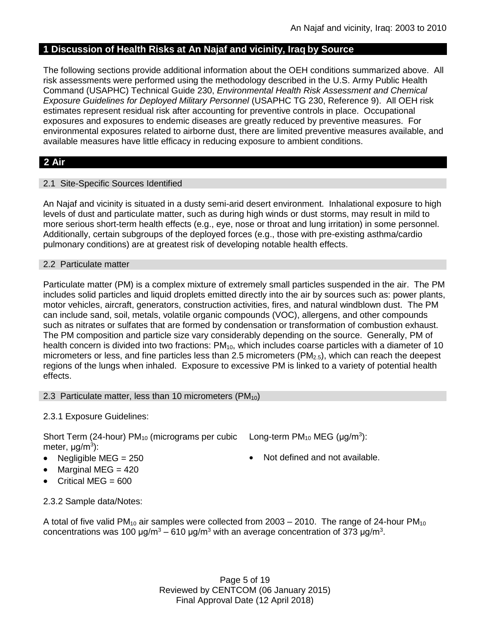# **1 Discussion of Health Risks at An Najaf and vicinity, Iraq by Source**

The following sections provide additional information about the OEH conditions summarized above. All risk assessments were performed using the methodology described in the U.S. Army Public Health Command (USAPHC) Technical Guide 230, *Environmental Health Risk Assessment and Chemical Exposure Guidelines for Deployed Military Personnel* (USAPHC TG 230, Reference 9). All OEH risk estimates represent residual risk after accounting for preventive controls in place. Occupational exposures and exposures to endemic diseases are greatly reduced by preventive measures. For environmental exposures related to airborne dust, there are limited preventive measures available, and available measures have little efficacy in reducing exposure to ambient conditions.

# **2 Air**

# 2.1 Site-Specific Sources Identified

An Najaf and vicinity is situated in a dusty semi-arid desert environment. Inhalational exposure to high levels of dust and particulate matter, such as during high winds or dust storms, may result in mild to more serious short-term health effects (e.g., eye, nose or throat and lung irritation) in some personnel. Additionally, certain subgroups of the deployed forces (e.g., those with pre-existing asthma/cardio pulmonary conditions) are at greatest risk of developing notable health effects.

### 2.2 Particulate matter

Particulate matter (PM) is a complex mixture of extremely small particles suspended in the air. The PM includes solid particles and liquid droplets emitted directly into the air by sources such as: power plants, motor vehicles, aircraft, generators, construction activities, fires, and natural windblown dust. The PM can include sand, soil, metals, volatile organic compounds (VOC), allergens, and other compounds such as nitrates or sulfates that are formed by condensation or transformation of combustion exhaust. The PM composition and particle size vary considerably depending on the source. Generally, PM of health concern is divided into two fractions:  $PM_{10}$ , which includes coarse particles with a diameter of 10 micrometers or less, and fine particles less than 2.5 micrometers ( $PM<sub>2.5</sub>$ ), which can reach the deepest regions of the lungs when inhaled. Exposure to excessive PM is linked to a variety of potential health effects.

### 2.3 Particulate matter, less than 10 micrometers (PM<sub>10</sub>)

# 2.3.1 Exposure Guidelines:

Short Term (24-hour)  $PM_{10}$  (micrograms per cubic Long-term  $PM_{10}$  MEG ( $\mu$ g/m<sup>3</sup>): meter, μg/m<sup>3</sup>):

- 
- $\bullet$  Marginal MEG = 420
- Critical MEG = 600
- 
- Negligible  $MEG = 250$   $\bullet$  Not defined and not available.

2.3.2 Sample data/Notes:

A total of five valid PM<sub>10</sub> air samples were collected from 2003 – 2010. The range of 24-hour PM<sub>10</sub> concentrations was 100 μg/m<sup>3</sup> – 610 μg/m<sup>3</sup> with an average concentration of 373 μg/m<sup>3</sup>.

> Page 5 of 19 Reviewed by CENTCOM (06 January 2015) Final Approval Date (12 April 2018)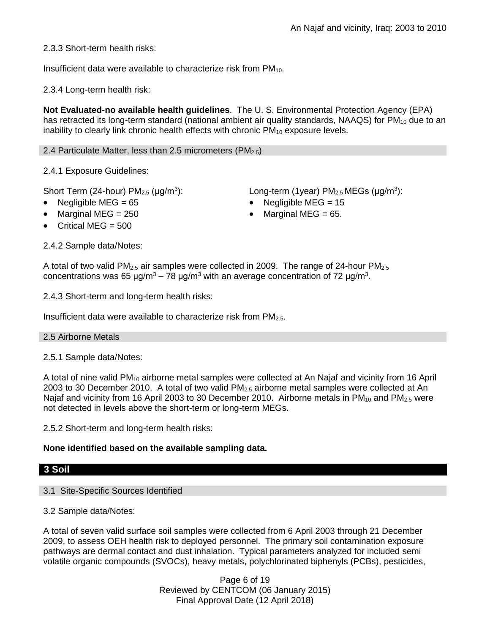2.3.3 Short-term health risks:

Insufficient data were available to characterize risk from  $PM_{10}$ .

2.3.4 Long-term health risk:

**Not Evaluated-no available health guidelines**. The U. S. Environmental Protection Agency (EPA) has retracted its long-term standard (national ambient air quality standards, NAAQS) for  $PM_{10}$  due to an inability to clearly link chronic health effects with chronic  $PM_{10}$  exposure levels.

2.4 Particulate Matter, less than 2.5 micrometers (PM $_{2.5}$ )

2.4.1 Exposure Guidelines:

Short Term (24-hour)  $PM<sub>2.5</sub>$  ( $\mu$ g/m<sup>3</sup>):

- 
- 
- Critical MEG = 500

2.4.2 Sample data/Notes:

): Long-term (1year)  $PM_{2.5}$  MEGs ( $\mu$ g/m<sup>3</sup>):

- Negligible MEG =  $65$  Negligible MEG =  $15$
- Marginal MEG =  $250$   $\bullet$  Marginal MEG =  $65$ .

A total of two valid PM<sub>2.5</sub> air samples were collected in 2009. The range of 24-hour PM<sub>2.5</sub> concentrations was 65 μg/m<sup>3</sup> – 78 μg/m<sup>3</sup> with an average concentration of 72 μg/m<sup>3</sup>.

2.4.3 Short-term and long-term health risks:

Insufficient data were available to characterize risk from  $PM<sub>2.5</sub>$ .

### 2.5 Airborne Metals

2.5.1 Sample data/Notes:

A total of nine valid PM<sup>10</sup> airborne metal samples were collected at An Najaf and vicinity from 16 April 2003 to 30 December 2010. A total of two valid  $PM<sub>2.5</sub>$  airborne metal samples were collected at An Najaf and vicinity from 16 April 2003 to 30 December 2010. Airborne metals in  $PM_{10}$  and  $PM_{2.5}$  were not detected in levels above the short-term or long-term MEGs.

2.5.2 Short-term and long-term health risks:

# **None identified based on the available sampling data.**

### **3 Soil**

# 3.1 Site-Specific Sources Identified

3.2 Sample data/Notes:

A total of seven valid surface soil samples were collected from 6 April 2003 through 21 December 2009, to assess OEH health risk to deployed personnel. The primary soil contamination exposure pathways are dermal contact and dust inhalation. Typical parameters analyzed for included semi volatile organic compounds (SVOCs), heavy metals, polychlorinated biphenyls (PCBs), pesticides,

> Page 6 of 19 Reviewed by CENTCOM (06 January 2015) Final Approval Date (12 April 2018)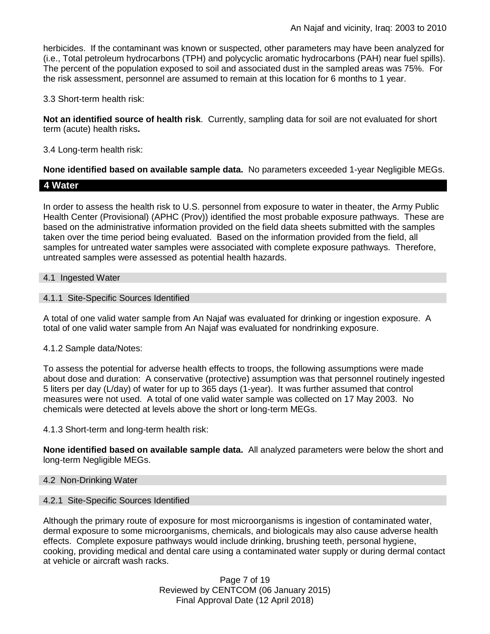herbicides. If the contaminant was known or suspected, other parameters may have been analyzed for (i.e., Total petroleum hydrocarbons (TPH) and polycyclic aromatic hydrocarbons (PAH) near fuel spills). The percent of the population exposed to soil and associated dust in the sampled areas was 75%. For the risk assessment, personnel are assumed to remain at this location for 6 months to 1 year.

3.3 Short-term health risk:

**Not an identified source of health risk**. Currently, sampling data for soil are not evaluated for short term (acute) health risks**.**

3.4 Long-term health risk:

**None identified based on available sample data.** No parameters exceeded 1-year Negligible MEGs.

# **4 Water**

In order to assess the health risk to U.S. personnel from exposure to water in theater, the Army Public Health Center (Provisional) (APHC (Prov)) identified the most probable exposure pathways. These are based on the administrative information provided on the field data sheets submitted with the samples taken over the time period being evaluated. Based on the information provided from the field, all samples for untreated water samples were associated with complete exposure pathways. Therefore, untreated samples were assessed as potential health hazards.

### 4.1 Ingested Water

### 4.1.1 Site-Specific Sources Identified

A total of one valid water sample from An Najaf was evaluated for drinking or ingestion exposure. A total of one valid water sample from An Najaf was evaluated for nondrinking exposure.

### 4.1.2 Sample data/Notes:

To assess the potential for adverse health effects to troops, the following assumptions were made about dose and duration: A conservative (protective) assumption was that personnel routinely ingested 5 liters per day (L/day) of water for up to 365 days (1-year). It was further assumed that control measures were not used. A total of one valid water sample was collected on 17 May 2003. No chemicals were detected at levels above the short or long-term MEGs.

4.1.3 Short-term and long-term health risk:

**None identified based on available sample data.** All analyzed parameters were below the short and long-term Negligible MEGs.

### 4.2 Non-Drinking Water

# 4.2.1 Site-Specific Sources Identified

Although the primary route of exposure for most microorganisms is ingestion of contaminated water, dermal exposure to some microorganisms, chemicals, and biologicals may also cause adverse health effects. Complete exposure pathways would include drinking, brushing teeth, personal hygiene, cooking, providing medical and dental care using a contaminated water supply or during dermal contact at vehicle or aircraft wash racks.

> Page 7 of 19 Reviewed by CENTCOM (06 January 2015) Final Approval Date (12 April 2018)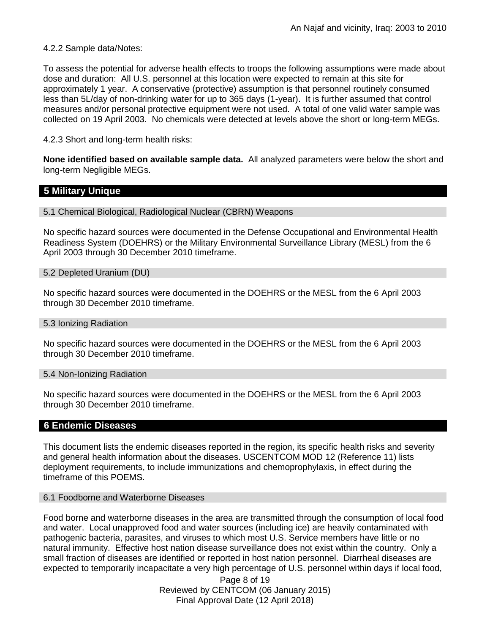### 4.2.2 Sample data/Notes:

To assess the potential for adverse health effects to troops the following assumptions were made about dose and duration: All U.S. personnel at this location were expected to remain at this site for approximately 1 year. A conservative (protective) assumption is that personnel routinely consumed less than 5L/day of non-drinking water for up to 365 days (1-year). It is further assumed that control measures and/or personal protective equipment were not used. A total of one valid water sample was collected on 19 April 2003. No chemicals were detected at levels above the short or long-term MEGs.

4.2.3 Short and long-term health risks:

**None identified based on available sample data.** All analyzed parameters were below the short and long-term Negligible MEGs.

### **5 Military Unique**

#### 5.1 Chemical Biological, Radiological Nuclear (CBRN) Weapons

No specific hazard sources were documented in the Defense Occupational and Environmental Health Readiness System (DOEHRS) or the Military Environmental Surveillance Library (MESL) from the 6 April 2003 through 30 December 2010 timeframe.

#### 5.2 Depleted Uranium (DU)

No specific hazard sources were documented in the DOEHRS or the MESL from the 6 April 2003 through 30 December 2010 timeframe.

#### 5.3 Ionizing Radiation

No specific hazard sources were documented in the DOEHRS or the MESL from the 6 April 2003 through 30 December 2010 timeframe.

#### 5.4 Non-Ionizing Radiation

No specific hazard sources were documented in the DOEHRS or the MESL from the 6 April 2003 through 30 December 2010 timeframe.

### **6 Endemic Diseases**

This document lists the endemic diseases reported in the region, its specific health risks and severity and general health information about the diseases. USCENTCOM MOD 12 (Reference 11) lists deployment requirements, to include immunizations and chemoprophylaxis, in effect during the timeframe of this POEMS.

### 6.1 Foodborne and Waterborne Diseases

Food borne and waterborne diseases in the area are transmitted through the consumption of local food and water. Local unapproved food and water sources (including ice) are heavily contaminated with pathogenic bacteria, parasites, and viruses to which most U.S. Service members have little or no natural immunity. Effective host nation disease surveillance does not exist within the country. Only a small fraction of diseases are identified or reported in host nation personnel. Diarrheal diseases are expected to temporarily incapacitate a very high percentage of U.S. personnel within days if local food,

> Page 8 of 19 Reviewed by CENTCOM (06 January 2015) Final Approval Date (12 April 2018)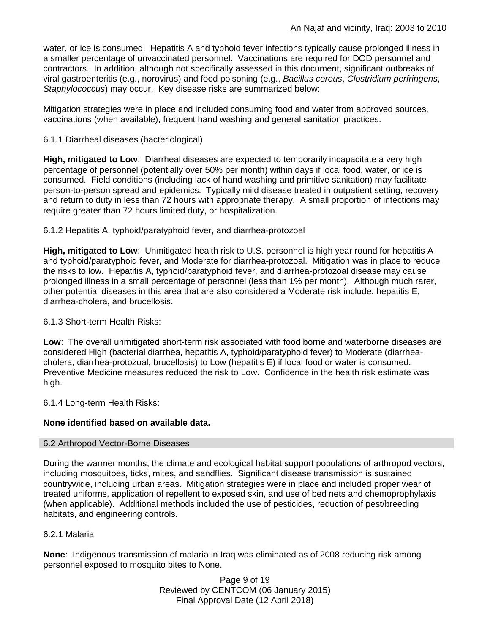water, or ice is consumed. Hepatitis A and typhoid fever infections typically cause prolonged illness in a smaller percentage of unvaccinated personnel. Vaccinations are required for DOD personnel and contractors. In addition, although not specifically assessed in this document, significant outbreaks of viral gastroenteritis (e.g., norovirus) and food poisoning (e.g., *Bacillus cereus*, *Clostridium perfringens*, *Staphylococcus*) may occur. Key disease risks are summarized below:

Mitigation strategies were in place and included consuming food and water from approved sources, vaccinations (when available), frequent hand washing and general sanitation practices.

# 6.1.1 Diarrheal diseases (bacteriological)

**High, mitigated to Low**: Diarrheal diseases are expected to temporarily incapacitate a very high percentage of personnel (potentially over 50% per month) within days if local food, water, or ice is consumed. Field conditions (including lack of hand washing and primitive sanitation) may facilitate person-to-person spread and epidemics. Typically mild disease treated in outpatient setting; recovery and return to duty in less than 72 hours with appropriate therapy. A small proportion of infections may require greater than 72 hours limited duty, or hospitalization.

# 6.1.2 Hepatitis A, typhoid/paratyphoid fever, and diarrhea-protozoal

**High, mitigated to Low**: Unmitigated health risk to U.S. personnel is high year round for hepatitis A and typhoid/paratyphoid fever, and Moderate for diarrhea-protozoal. Mitigation was in place to reduce the risks to low. Hepatitis A, typhoid/paratyphoid fever, and diarrhea-protozoal disease may cause prolonged illness in a small percentage of personnel (less than 1% per month). Although much rarer, other potential diseases in this area that are also considered a Moderate risk include: hepatitis E, diarrhea-cholera, and brucellosis.

# 6.1.3 Short-term Health Risks:

**Low**: The overall unmitigated short-term risk associated with food borne and waterborne diseases are considered High (bacterial diarrhea, hepatitis A, typhoid/paratyphoid fever) to Moderate (diarrheacholera, diarrhea-protozoal, brucellosis) to Low (hepatitis E) if local food or water is consumed. Preventive Medicine measures reduced the risk to Low. Confidence in the health risk estimate was high.

6.1.4 Long-term Health Risks:

# **None identified based on available data.**

# 6.2 Arthropod Vector-Borne Diseases

During the warmer months, the climate and ecological habitat support populations of arthropod vectors, including mosquitoes, ticks, mites, and sandflies. Significant disease transmission is sustained countrywide, including urban areas. Mitigation strategies were in place and included proper wear of treated uniforms, application of repellent to exposed skin, and use of bed nets and chemoprophylaxis (when applicable). Additional methods included the use of pesticides, reduction of pest/breeding habitats, and engineering controls.

# 6.2.1 Malaria

**None**: Indigenous transmission of malaria in Iraq was eliminated as of 2008 reducing risk among personnel exposed to mosquito bites to None.

> Page 9 of 19 Reviewed by CENTCOM (06 January 2015) Final Approval Date (12 April 2018)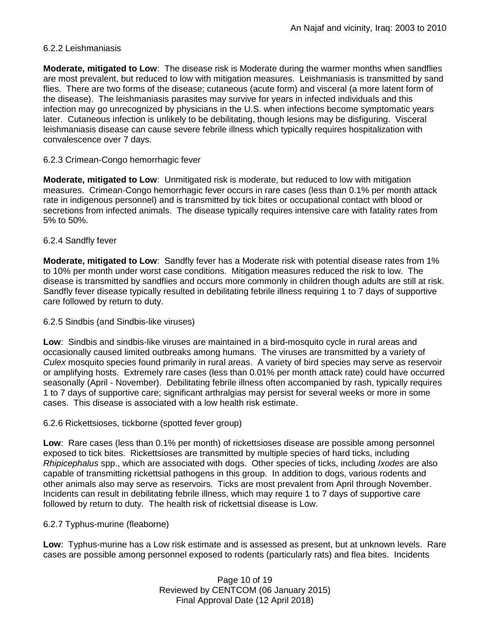# 6.2.2 Leishmaniasis

**Moderate, mitigated to Low**: The disease risk is Moderate during the warmer months when sandflies are most prevalent, but reduced to low with mitigation measures. Leishmaniasis is transmitted by sand flies. There are two forms of the disease; cutaneous (acute form) and visceral (a more latent form of the disease). The leishmaniasis parasites may survive for years in infected individuals and this infection may go unrecognized by physicians in the U.S. when infections become symptomatic years later. Cutaneous infection is unlikely to be debilitating, though lesions may be disfiguring. Visceral leishmaniasis disease can cause severe febrile illness which typically requires hospitalization with convalescence over 7 days.

# 6.2.3 Crimean-Congo hemorrhagic fever

**Moderate, mitigated to Low**: Unmitigated risk is moderate, but reduced to low with mitigation measures. Crimean-Congo hemorrhagic fever occurs in rare cases (less than 0.1% per month attack rate in indigenous personnel) and is transmitted by tick bites or occupational contact with blood or secretions from infected animals. The disease typically requires intensive care with fatality rates from 5% to 50%.

### 6.2.4 Sandfly fever

**Moderate, mitigated to Low**: Sandfly fever has a Moderate risk with potential disease rates from 1% to 10% per month under worst case conditions. Mitigation measures reduced the risk to low. The disease is transmitted by sandflies and occurs more commonly in children though adults are still at risk. Sandfly fever disease typically resulted in debilitating febrile illness requiring 1 to 7 days of supportive care followed by return to duty.

### 6.2.5 Sindbis (and Sindbis-like viruses)

**Low**: Sindbis and sindbis-like viruses are maintained in a bird-mosquito cycle in rural areas and occasionally caused limited outbreaks among humans. The viruses are transmitted by a variety of *Culex* mosquito species found primarily in rural areas. A variety of bird species may serve as reservoir or amplifying hosts. Extremely rare cases (less than 0.01% per month attack rate) could have occurred seasonally (April - November). Debilitating febrile illness often accompanied by rash, typically requires 1 to 7 days of supportive care; significant arthralgias may persist for several weeks or more in some cases. This disease is associated with a low health risk estimate.

### 6.2.6 Rickettsioses, tickborne (spotted fever group)

**Low**: Rare cases (less than 0.1% per month) of rickettsioses disease are possible among personnel exposed to tick bites. Rickettsioses are transmitted by multiple species of hard ticks, including *Rhipicephalus* spp., which are associated with dogs. Other species of ticks, including *Ixodes* are also capable of transmitting rickettsial pathogens in this group. In addition to dogs, various rodents and other animals also may serve as reservoirs. Ticks are most prevalent from April through November. Incidents can result in debilitating febrile illness, which may require 1 to 7 days of supportive care followed by return to duty. The health risk of rickettsial disease is Low.

# 6.2.7 Typhus-murine (fleaborne)

**Low**: Typhus-murine has a Low risk estimate and is assessed as present, but at unknown levels. Rare cases are possible among personnel exposed to rodents (particularly rats) and flea bites. Incidents

> Page 10 of 19 Reviewed by CENTCOM (06 January 2015) Final Approval Date (12 April 2018)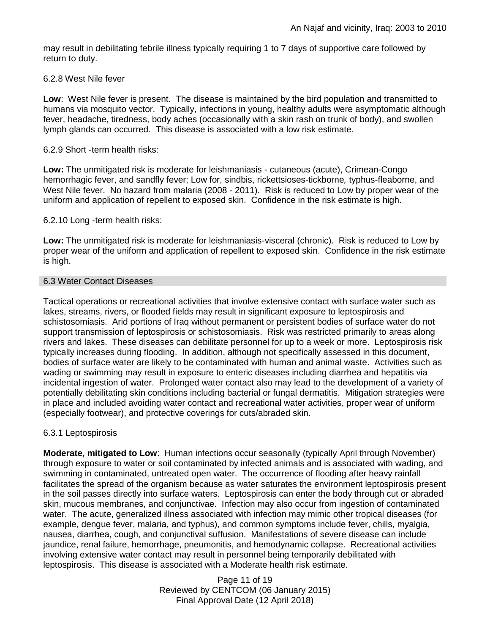may result in debilitating febrile illness typically requiring 1 to 7 days of supportive care followed by return to duty.

### 6.2.8 West Nile fever

**Low**: West Nile fever is present. The disease is maintained by the bird population and transmitted to humans via mosquito vector. Typically, infections in young, healthy adults were asymptomatic although fever, headache, tiredness, body aches (occasionally with a skin rash on trunk of body), and swollen lymph glands can occurred. This disease is associated with a low risk estimate.

### 6.2.9 Short -term health risks:

**Low:** The unmitigated risk is moderate for leishmaniasis - cutaneous (acute), Crimean-Congo hemorrhagic fever, and sandfly fever; Low for, sindbis, rickettsioses-tickborne*,* typhus-fleaborne, and West Nile fever. No hazard from malaria (2008 - 2011). Risk is reduced to Low by proper wear of the uniform and application of repellent to exposed skin. Confidence in the risk estimate is high.

### 6.2.10 Long -term health risks:

**Low:** The unmitigated risk is moderate for leishmaniasis-visceral (chronic). Risk is reduced to Low by proper wear of the uniform and application of repellent to exposed skin. Confidence in the risk estimate is high.

### 6.3 Water Contact Diseases

Tactical operations or recreational activities that involve extensive contact with surface water such as lakes, streams, rivers, or flooded fields may result in significant exposure to leptospirosis and schistosomiasis. Arid portions of Iraq without permanent or persistent bodies of surface water do not support transmission of leptospirosis or schistosomiasis. Risk was restricted primarily to areas along rivers and lakes. These diseases can debilitate personnel for up to a week or more. Leptospirosis risk typically increases during flooding. In addition, although not specifically assessed in this document, bodies of surface water are likely to be contaminated with human and animal waste. Activities such as wading or swimming may result in exposure to enteric diseases including diarrhea and hepatitis via incidental ingestion of water. Prolonged water contact also may lead to the development of a variety of potentially debilitating skin conditions including bacterial or fungal dermatitis. Mitigation strategies were in place and included avoiding water contact and recreational water activities, proper wear of uniform (especially footwear), and protective coverings for cuts/abraded skin.

# 6.3.1 Leptospirosis

**Moderate, mitigated to Low**: Human infections occur seasonally (typically April through November) through exposure to water or soil contaminated by infected animals and is associated with wading, and swimming in contaminated, untreated open water. The occurrence of flooding after heavy rainfall facilitates the spread of the organism because as water saturates the environment leptospirosis present in the soil passes directly into surface waters. Leptospirosis can enter the body through cut or abraded skin, mucous membranes, and conjunctivae. Infection may also occur from ingestion of contaminated water. The acute, generalized illness associated with infection may mimic other tropical diseases (for example, dengue fever, malaria, and typhus), and common symptoms include fever, chills, myalgia, nausea, diarrhea, cough, and conjunctival suffusion. Manifestations of severe disease can include jaundice, renal failure, hemorrhage, pneumonitis, and hemodynamic collapse. Recreational activities involving extensive water contact may result in personnel being temporarily debilitated with leptospirosis. This disease is associated with a Moderate health risk estimate.

> Page 11 of 19 Reviewed by CENTCOM (06 January 2015) Final Approval Date (12 April 2018)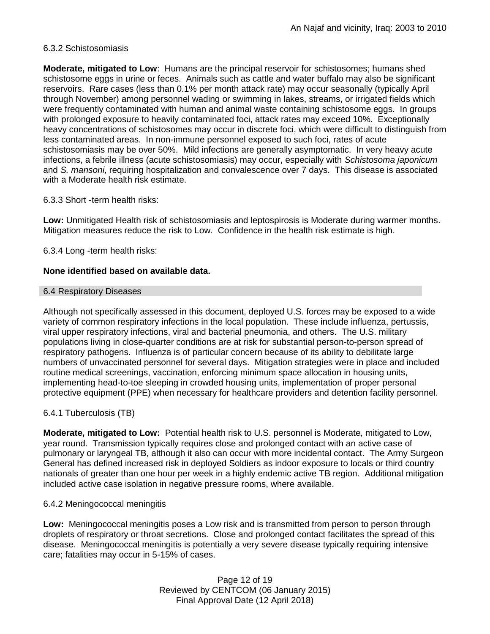# 6.3.2 Schistosomiasis

**Moderate, mitigated to Low**: Humans are the principal reservoir for schistosomes; humans shed schistosome eggs in urine or feces. Animals such as cattle and water buffalo may also be significant reservoirs. Rare cases (less than 0.1% per month attack rate) may occur seasonally (typically April through November) among personnel wading or swimming in lakes, streams, or irrigated fields which were frequently contaminated with human and animal waste containing schistosome eggs. In groups with prolonged exposure to heavily contaminated foci, attack rates may exceed 10%. Exceptionally heavy concentrations of schistosomes may occur in discrete foci, which were difficult to distinguish from less contaminated areas. In non-immune personnel exposed to such foci, rates of acute schistosomiasis may be over 50%. Mild infections are generally asymptomatic. In very heavy acute infections, a febrile illness (acute schistosomiasis) may occur, especially with *Schistosoma japonicum*  and *S. mansoni*, requiring hospitalization and convalescence over 7 days. This disease is associated with a Moderate health risk estimate.

### 6.3.3 Short -term health risks:

**Low:** Unmitigated Health risk of schistosomiasis and leptospirosis is Moderate during warmer months. Mitigation measures reduce the risk to Low. Confidence in the health risk estimate is high.

6.3.4 Long -term health risks:

### **None identified based on available data.**

#### 6.4 Respiratory Diseases

Although not specifically assessed in this document, deployed U.S. forces may be exposed to a wide variety of common respiratory infections in the local population. These include influenza, pertussis, viral upper respiratory infections, viral and bacterial pneumonia, and others. The U.S. military populations living in close-quarter conditions are at risk for substantial person-to-person spread of respiratory pathogens. Influenza is of particular concern because of its ability to debilitate large numbers of unvaccinated personnel for several days. Mitigation strategies were in place and included routine medical screenings, vaccination, enforcing minimum space allocation in housing units, implementing head-to-toe sleeping in crowded housing units, implementation of proper personal protective equipment (PPE) when necessary for healthcare providers and detention facility personnel.

# 6.4.1 Tuberculosis (TB)

**Moderate, mitigated to Low:** Potential health risk to U.S. personnel is Moderate, mitigated to Low, year round. Transmission typically requires close and prolonged contact with an active case of pulmonary or laryngeal TB, although it also can occur with more incidental contact. The Army Surgeon General has defined increased risk in deployed Soldiers as indoor exposure to locals or third country nationals of greater than one hour per week in a highly endemic active TB region. Additional mitigation included active case isolation in negative pressure rooms, where available.

### 6.4.2 Meningococcal meningitis

**Low:** Meningococcal meningitis poses a Low risk and is transmitted from person to person through droplets of respiratory or throat secretions. Close and prolonged contact facilitates the spread of this disease. Meningococcal meningitis is potentially a very severe disease typically requiring intensive care; fatalities may occur in 5-15% of cases.

> Page 12 of 19 Reviewed by CENTCOM (06 January 2015) Final Approval Date (12 April 2018)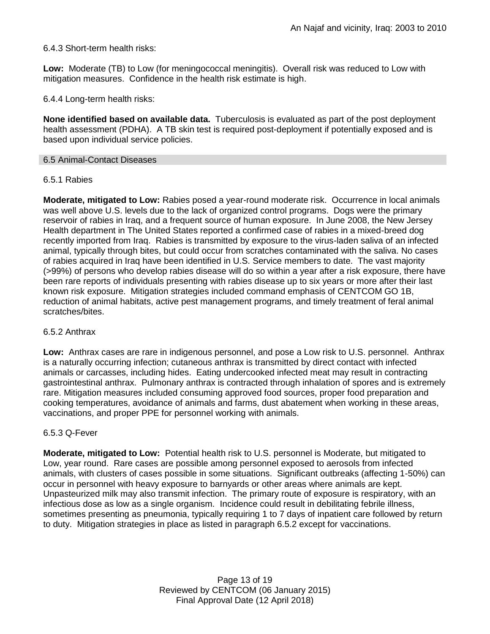# 6.4.3 Short-term health risks:

**Low:** Moderate (TB) to Low (for meningococcal meningitis). Overall risk was reduced to Low with mitigation measures. Confidence in the health risk estimate is high.

6.4.4 Long-term health risks:

**None identified based on available data.** Tuberculosis is evaluated as part of the post deployment health assessment (PDHA). A TB skin test is required post-deployment if potentially exposed and is based upon individual service policies.

### 6.5 Animal-Contact Diseases

### 6.5.1 Rabies

**Moderate, mitigated to Low:** Rabies posed a year-round moderate risk. Occurrence in local animals was well above U.S. levels due to the lack of organized control programs. Dogs were the primary reservoir of rabies in Iraq, and a frequent source of human exposure. In June 2008, the New Jersey Health department in The United States reported a confirmed case of rabies in a mixed-breed dog recently imported from Iraq. Rabies is transmitted by exposure to the virus-laden saliva of an infected animal, typically through bites, but could occur from scratches contaminated with the saliva. No cases of rabies acquired in Iraq have been identified in U.S. Service members to date. The vast majority (>99%) of persons who develop rabies disease will do so within a year after a risk exposure, there have been rare reports of individuals presenting with rabies disease up to six years or more after their last known risk exposure. Mitigation strategies included command emphasis of CENTCOM GO 1B, reduction of animal habitats, active pest management programs, and timely treatment of feral animal scratches/bites.

### 6.5.2 Anthrax

**Low:** Anthrax cases are rare in indigenous personnel, and pose a Low risk to U.S. personnel. Anthrax is a naturally occurring infection; cutaneous anthrax is transmitted by direct contact with infected animals or carcasses, including hides. Eating undercooked infected meat may result in contracting gastrointestinal anthrax. Pulmonary anthrax is contracted through inhalation of spores and is extremely rare. Mitigation measures included consuming approved food sources, proper food preparation and cooking temperatures, avoidance of animals and farms, dust abatement when working in these areas, vaccinations, and proper PPE for personnel working with animals.

### 6.5.3 Q-Fever

**Moderate, mitigated to Low:** Potential health risk to U.S. personnel is Moderate, but mitigated to Low, year round. Rare cases are possible among personnel exposed to aerosols from infected animals, with clusters of cases possible in some situations. Significant outbreaks (affecting 1-50%) can occur in personnel with heavy exposure to barnyards or other areas where animals are kept. Unpasteurized milk may also transmit infection. The primary route of exposure is respiratory, with an infectious dose as low as a single organism. Incidence could result in debilitating febrile illness, sometimes presenting as pneumonia, typically requiring 1 to 7 days of inpatient care followed by return to duty. Mitigation strategies in place as listed in paragraph 6.5.2 except for vaccinations.

> Page 13 of 19 Reviewed by CENTCOM (06 January 2015) Final Approval Date (12 April 2018)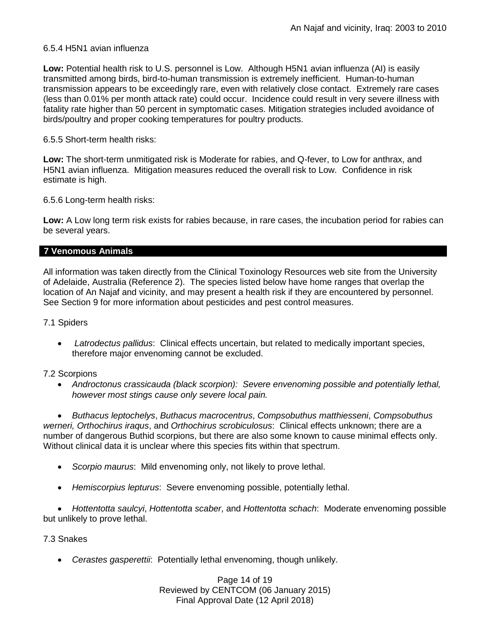### 6.5.4 H5N1 avian influenza

**Low:** Potential health risk to U.S. personnel is Low. Although H5N1 avian influenza (AI) is easily transmitted among birds, bird-to-human transmission is extremely inefficient. Human-to-human transmission appears to be exceedingly rare, even with relatively close contact. Extremely rare cases (less than 0.01% per month attack rate) could occur. Incidence could result in very severe illness with fatality rate higher than 50 percent in symptomatic cases. Mitigation strategies included avoidance of birds/poultry and proper cooking temperatures for poultry products.

### 6.5.5 Short-term health risks:

**Low:** The short-term unmitigated risk is Moderate for rabies, and Q-fever, to Low for anthrax, and H5N1 avian influenza. Mitigation measures reduced the overall risk to Low.Confidence in risk estimate is high.

6.5.6 Long-term health risks:

**Low:** A Low long term risk exists for rabies because, in rare cases, the incubation period for rabies can be several years.

### **7 Venomous Animals**

All information was taken directly from the Clinical Toxinology Resources web site from the University of Adelaide, Australia (Reference 2). The species listed below have home ranges that overlap the location of An Najaf and vicinity, and may present a health risk if they are encountered by personnel. See Section 9 for more information about pesticides and pest control measures.

### 7.1 Spiders

 *Latrodectus pallidus*: Clinical effects uncertain, but related to medically important species, therefore major envenoming cannot be excluded.

### 7.2 Scorpions

 *Androctonus crassicauda (black scorpion): Severe envenoming possible and potentially lethal, however most stings cause only severe local pain.* 

 *Buthacus leptochelys*, *Buthacus macrocentrus*, *Compsobuthus matthiesseni*, *Compsobuthus werneri, Orthochirus iraqus*, and *Orthochirus scrobiculosus*: Clinical effects unknown; there are a number of dangerous Buthid scorpions, but there are also some known to cause minimal effects only. Without clinical data it is unclear where this species fits within that spectrum.

- *Scorpio maurus*: Mild envenoming only, not likely to prove lethal.
- *Hemiscorpius lepturus*: Severe envenoming possible, potentially lethal.

 *Hottentotta saulcyi*, *Hottentotta scaber*, and *Hottentotta schach*: Moderate envenoming possible but unlikely to prove lethal.

### 7.3 Snakes

*Cerastes gasperettii*: Potentially lethal envenoming, though unlikely.

Page 14 of 19 Reviewed by CENTCOM (06 January 2015) Final Approval Date (12 April 2018)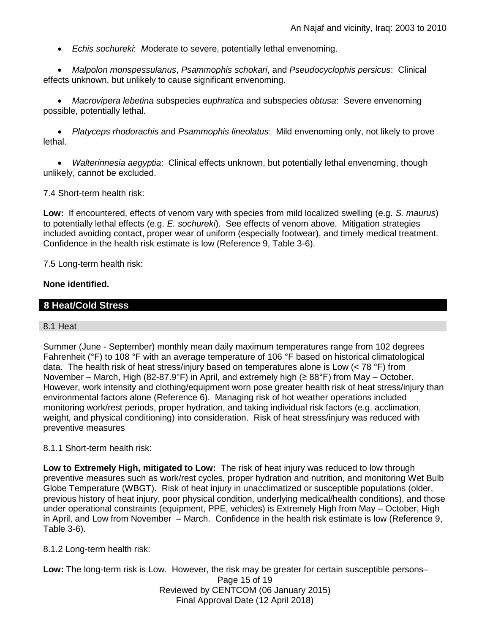*Echis sochureki*: *M*oderate to severe, potentially lethal envenoming.

 *Malpolon monspessulanus*, *Psammophis schokari*, and *Pseudocyclophis persicus*: Clinical effects unknown, but unlikely to cause significant envenoming.

 *Macrovipera lebetina* subspecies e*uphratica* and subspecies *obtusa*: Severe envenoming possible, potentially lethal.

 *Platyceps rhodorachis* and *Psammophis lineolatus*: Mild envenoming only, not likely to prove lethal.

 *Walterinnesia aegyptia*: Clinical effects unknown, but potentially lethal envenoming, though unlikely, cannot be excluded.

7.4 Short-term health risk:

**Low:** If encountered, effects of venom vary with species from mild localized swelling (e.g. *S. maurus*) to potentially lethal effects (e.g. *E. sochureki*). See effects of venom above. Mitigation strategies included avoiding contact, proper wear of uniform (especially footwear), and timely medical treatment. Confidence in the health risk estimate is low (Reference 9, Table 3-6).

7.5 Long-term health risk:

### **None identified.**

# **8 Heat/Cold Stress**

### 8.1 Heat

Summer (June - September) monthly mean daily maximum temperatures range from 102 degrees Fahrenheit (°F) to 108 °F with an average temperature of 106 °F based on historical climatological data. The health risk of heat stress/injury based on temperatures alone is Low  $(< 78$  °F) from November – March, High (82-87.9°F) in April, and extremely high ( $\geq 88^\circ$ F) from May – October. However, work intensity and clothing/equipment worn pose greater health risk of heat stress/injury than environmental factors alone (Reference 6). Managing risk of hot weather operations included monitoring work/rest periods, proper hydration, and taking individual risk factors (e.g. acclimation, weight, and physical conditioning) into consideration. Risk of heat stress/injury was reduced with preventive measures

### 8.1.1 Short-term health risk:

**Low to Extremely High, mitigated to Low:** The risk of heat injury was reduced to low through preventive measures such as work/rest cycles, proper hydration and nutrition, and monitoring Wet Bulb Globe Temperature (WBGT). Risk of heat injury in unacclimatized or susceptible populations (older, previous history of heat injury, poor physical condition, underlying medical/health conditions), and those under operational constraints (equipment, PPE, vehicles) is Extremely High from May – October, High in April, and Low from November – March. Confidence in the health risk estimate is low (Reference 9, Table 3-6).

### 8.1.2 Long-term health risk:

Page 15 of 19 Reviewed by CENTCOM (06 January 2015) Final Approval Date (12 April 2018) **Low:** The long-term risk is Low. However, the risk may be greater for certain susceptible persons–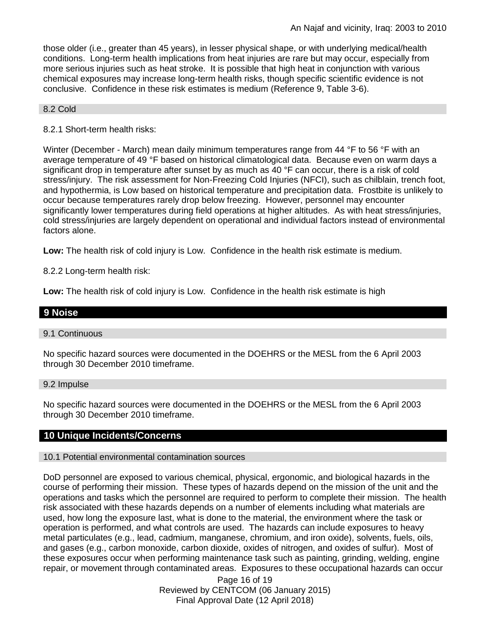those older (i.e., greater than 45 years), in lesser physical shape, or with underlying medical/health conditions. Long-term health implications from heat injuries are rare but may occur, especially from more serious injuries such as heat stroke. It is possible that high heat in conjunction with various chemical exposures may increase long-term health risks, though specific scientific evidence is not conclusive. Confidence in these risk estimates is medium (Reference 9, Table 3-6).

#### 8.2 Cold

### 8.2.1 Short-term health risks:

Winter (December - March) mean daily minimum temperatures range from 44 °F to 56 °F with an average temperature of 49 °F based on historical climatological data. Because even on warm days a significant drop in temperature after sunset by as much as 40  $\degree$ F can occur, there is a risk of cold stress/injury. The risk assessment for Non-Freezing Cold Injuries (NFCI), such as chilblain, trench foot, and hypothermia, is Low based on historical temperature and precipitation data. Frostbite is unlikely to occur because temperatures rarely drop below freezing. However, personnel may encounter significantly lower temperatures during field operations at higher altitudes. As with heat stress/injuries, cold stress/injuries are largely dependent on operational and individual factors instead of environmental factors alone.

**Low:** The health risk of cold injury is Low. Confidence in the health risk estimate is medium.

8.2.2 Long-term health risk:

**Low:** The health risk of cold injury is Low. Confidence in the health risk estimate is high

# **9 Noise**

### 9.1 Continuous

No specific hazard sources were documented in the DOEHRS or the MESL from the 6 April 2003 through 30 December 2010 timeframe.

9.2 Impulse

No specific hazard sources were documented in the DOEHRS or the MESL from the 6 April 2003 through 30 December 2010 timeframe.

### **10 Unique Incidents/Concerns**

### 10.1 Potential environmental contamination sources

DoD personnel are exposed to various chemical, physical, ergonomic, and biological hazards in the course of performing their mission. These types of hazards depend on the mission of the unit and the operations and tasks which the personnel are required to perform to complete their mission. The health risk associated with these hazards depends on a number of elements including what materials are used, how long the exposure last, what is done to the material, the environment where the task or operation is performed, and what controls are used. The hazards can include exposures to heavy metal particulates (e.g., lead, cadmium, manganese, chromium, and iron oxide), solvents, fuels, oils, and gases (e.g., carbon monoxide, carbon dioxide, oxides of nitrogen, and oxides of sulfur). Most of these exposures occur when performing maintenance task such as painting, grinding, welding, engine repair, or movement through contaminated areas. Exposures to these occupational hazards can occur

> Page 16 of 19 Reviewed by CENTCOM (06 January 2015) Final Approval Date (12 April 2018)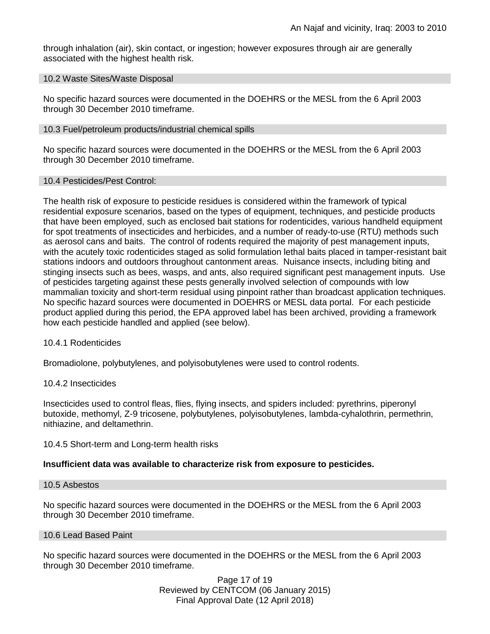through inhalation (air), skin contact, or ingestion; however exposures through air are generally associated with the highest health risk.

#### 10.2 Waste Sites/Waste Disposal

No specific hazard sources were documented in the DOEHRS or the MESL from the 6 April 2003 through 30 December 2010 timeframe.

### 10.3 Fuel/petroleum products/industrial chemical spills

No specific hazard sources were documented in the DOEHRS or the MESL from the 6 April 2003 through 30 December 2010 timeframe.

### 10.4 Pesticides/Pest Control:

The health risk of exposure to pesticide residues is considered within the framework of typical residential exposure scenarios, based on the types of equipment, techniques, and pesticide products that have been employed, such as enclosed bait stations for rodenticides, various handheld equipment for spot treatments of insecticides and herbicides, and a number of ready-to-use (RTU) methods such as aerosol cans and baits. The control of rodents required the majority of pest management inputs, with the acutely toxic rodenticides staged as solid formulation lethal baits placed in tamper-resistant bait stations indoors and outdoors throughout cantonment areas. Nuisance insects, including biting and stinging insects such as bees, wasps, and ants, also required significant pest management inputs. Use of pesticides targeting against these pests generally involved selection of compounds with low mammalian toxicity and short-term residual using pinpoint rather than broadcast application techniques. No specific hazard sources were documented in DOEHRS or MESL data portal. For each pesticide product applied during this period, the EPA approved label has been archived, providing a framework how each pesticide handled and applied (see below).

### 10.4.1 Rodenticides

Bromadiolone, polybutylenes, and polyisobutylenes were used to control rodents.

### 10.4.2 Insecticides

Insecticides used to control fleas, flies, flying insects, and spiders included: pyrethrins, piperonyl butoxide, methomyl, Z-9 tricosene, polybutylenes, polyisobutylenes, lambda-cyhalothrin, permethrin, nithiazine, and deltamethrin.

### 10.4.5 Short-term and Long-term health risks

# **Insufficient data was available to characterize risk from exposure to pesticides.**

### 10.5 Asbestos

No specific hazard sources were documented in the DOEHRS or the MESL from the 6 April 2003 through 30 December 2010 timeframe.

### 10.6 Lead Based Paint

No specific hazard sources were documented in the DOEHRS or the MESL from the 6 April 2003 through 30 December 2010 timeframe.

> Page 17 of 19 Reviewed by CENTCOM (06 January 2015) Final Approval Date (12 April 2018)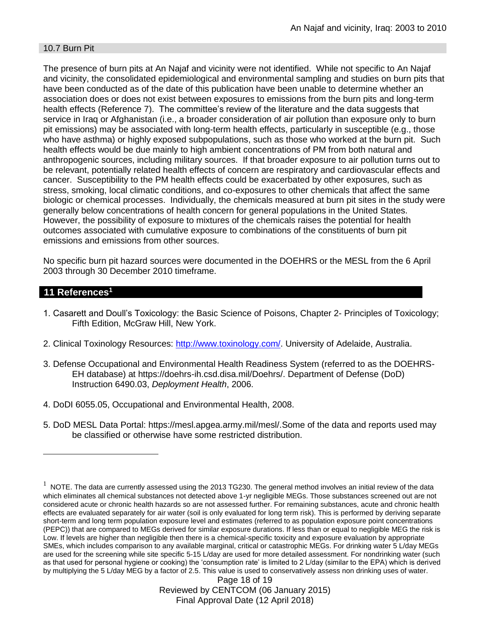### 10.7 Burn Pit

The presence of burn pits at An Najaf and vicinity were not identified. While not specific to An Najaf and vicinity, the consolidated epidemiological and environmental sampling and studies on burn pits that have been conducted as of the date of this publication have been unable to determine whether an association does or does not exist between exposures to emissions from the burn pits and long-term health effects (Reference 7). The committee's review of the literature and the data suggests that service in Iraq or Afghanistan (i.e., a broader consideration of air pollution than exposure only to burn pit emissions) may be associated with long-term health effects, particularly in susceptible (e.g., those who have asthma) or highly exposed subpopulations, such as those who worked at the burn pit. Such health effects would be due mainly to high ambient concentrations of PM from both natural and anthropogenic sources, including military sources. If that broader exposure to air pollution turns out to be relevant, potentially related health effects of concern are respiratory and cardiovascular effects and cancer. Susceptibility to the PM health effects could be exacerbated by other exposures, such as stress, smoking, local climatic conditions, and co-exposures to other chemicals that affect the same biologic or chemical processes. Individually, the chemicals measured at burn pit sites in the study were generally below concentrations of health concern for general populations in the United States. However, the possibility of exposure to mixtures of the chemicals raises the potential for health outcomes associated with cumulative exposure to combinations of the constituents of burn pit emissions and emissions from other sources.

No specific burn pit hazard sources were documented in the DOEHRS or the MESL from the 6 April 2003 through 30 December 2010 timeframe.

# **11 References<sup>1</sup>**

 $\overline{a}$ 

- 1. Casarett and Doull's Toxicology: the Basic Science of Poisons, Chapter 2- Principles of Toxicology; Fifth Edition, McGraw Hill, New York.
- 2. Clinical Toxinology Resources: [http://www.toxinology.com/.](http://www.toxinology.com/) University of Adelaide, Australia.
- 3. Defense Occupational and Environmental Health Readiness System (referred to as the DOEHRS-EH database) at https://doehrs-ih.csd.disa.mil/Doehrs/. Department of Defense (DoD) Instruction 6490.03, *Deployment Health*, 2006.
- 4. DoDI 6055.05, Occupational and Environmental Health, 2008.
- 5. DoD MESL Data Portal: https://mesl.apgea.army.mil/mesl/.Some of the data and reports used may be classified or otherwise have some restricted distribution.

 $1$  NOTE. The data are currently assessed using the 2013 TG230. The general method involves an initial review of the data which eliminates all chemical substances not detected above 1-yr negligible MEGs. Those substances screened out are not considered acute or chronic health hazards so are not assessed further. For remaining substances, acute and chronic health effects are evaluated separately for air water (soil is only evaluated for long term risk). This is performed by deriving separate short-term and long term population exposure level and estimates (referred to as population exposure point concentrations (PEPC)) that are compared to MEGs derived for similar exposure durations. If less than or equal to negligible MEG the risk is Low. If levels are higher than negligible then there is a chemical-specific toxicity and exposure evaluation by appropriate SMEs, which includes comparison to any available marginal, critical or catastrophic MEGs. For drinking water 5 L/day MEGs are used for the screening while site specific 5-15 L/day are used for more detailed assessment. For nondrinking water (such as that used for personal hygiene or cooking) the 'consumption rate' is limited to 2 L/day (similar to the EPA) which is derived by multiplying the 5 L/day MEG by a factor of 2.5. This value is used to conservatively assess non drinking uses of water.